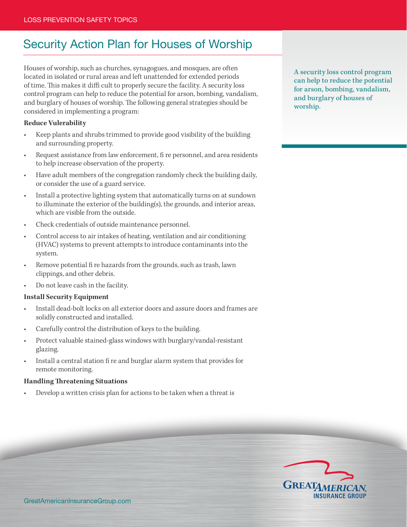## Security Action Plan for Houses of Worship

Houses of worship, such as churches, synagogues, and mosques, are often located in isolated or rural areas and left unattended for extended periods of time. This makes it diffi cult to properly secure the facility. A security loss control program can help to reduce the potential for arson, bombing, vandalism, and burglary of houses of worship. The following general strategies should be considered in implementing a program:

## **Reduce Vulerability**

- Keep plants and shrubs trimmed to provide good visibility of the building and surrounding property.
- Request assistance from law enforcement, fi re personnel, and area residents to help increase observation of the property.
- Have adult members of the congregation randomly check the building daily, or consider the use of a guard service.
- Install a protective lighting system that automatically turns on at sundown to illuminate the exterior of the building(s), the grounds, and interior areas, which are visible from the outside.
- Check credentials of outside maintenance personnel.
- Control access to air intakes of heating, ventilation and air conditioning (HVAC) systems to prevent attempts to introduce contaminants into the system.
- Remove potential fi re hazards from the grounds, such as trash, lawn clippings, and other debris.
- Do not leave cash in the facility.

## **Install Security Equipment**

- Install dead-bolt locks on all exterior doors and assure doors and frames are solidly constructed and installed.
- Carefully control the distribution of keys to the building.
- Protect valuable stained-glass windows with burglary/vandal-resistant glazing.
- Install a central station fi re and burglar alarm system that provides for remote monitoring.

## **Handling Threatening Situations**

Develop a written crisis plan for actions to be taken when a threat is

A security loss control program can help to reduce the potential for arson, bombing, vandalism, and burglary of houses of worship.